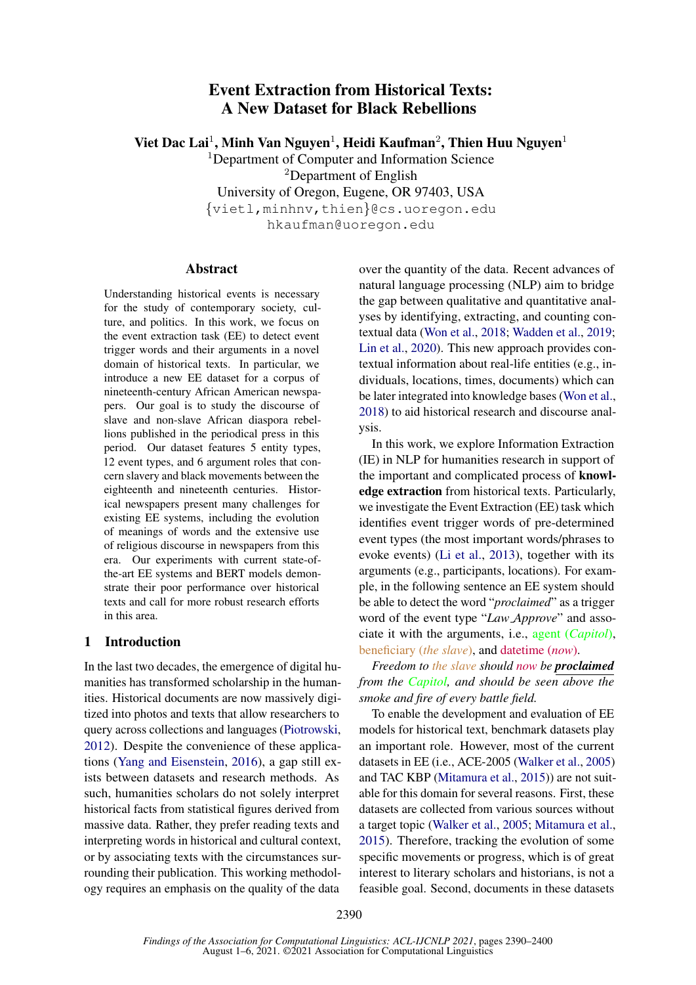# Event Extraction from Historical Texts: A New Dataset for Black Rebellions

Viet Dac Lai<sup>1</sup>, Minh Van Nguyen<sup>1</sup>, Heidi Kaufman<sup>2</sup>, Thien Huu Nguyen<sup>1</sup>

<sup>1</sup>Department of Computer and Information Science

<sup>2</sup>Department of English

University of Oregon, Eugene, OR 97403, USA {vietl,minhnv,thien}@cs.uoregon.edu

hkaufman@uoregon.edu

# Abstract

Understanding historical events is necessary for the study of contemporary society, culture, and politics. In this work, we focus on the event extraction task (EE) to detect event trigger words and their arguments in a novel domain of historical texts. In particular, we introduce a new EE dataset for a corpus of nineteenth-century African American newspapers. Our goal is to study the discourse of slave and non-slave African diaspora rebellions published in the periodical press in this period. Our dataset features 5 entity types, 12 event types, and 6 argument roles that concern slavery and black movements between the eighteenth and nineteenth centuries. Historical newspapers present many challenges for existing EE systems, including the evolution of meanings of words and the extensive use of religious discourse in newspapers from this era. Our experiments with current state-ofthe-art EE systems and BERT models demonstrate their poor performance over historical texts and call for more robust research efforts in this area.

# 1 Introduction

In the last two decades, the emergence of digital humanities has transformed scholarship in the humanities. Historical documents are now massively digitized into photos and texts that allow researchers to query across collections and languages [\(Piotrowski,](#page-6-0) [2012\)](#page-6-0). Despite the convenience of these applications [\(Yang and Eisenstein,](#page-6-1) [2016\)](#page-6-1), a gap still exists between datasets and research methods. As such, humanities scholars do not solely interpret historical facts from statistical figures derived from massive data. Rather, they prefer reading texts and interpreting words in historical and cultural context, or by associating texts with the circumstances surrounding their publication. This working methodology requires an emphasis on the quality of the data

over the quantity of the data. Recent advances of natural language processing (NLP) aim to bridge the gap between qualitative and quantitative analyses by identifying, extracting, and counting contextual data [\(Won et al.,](#page-6-2) [2018;](#page-6-2) [Wadden et al.,](#page-6-3) [2019;](#page-6-3) [Lin et al.,](#page-5-0) [2020\)](#page-5-0). This new approach provides contextual information about real-life entities (e.g., individuals, locations, times, documents) which can be later integrated into knowledge bases [\(Won et al.,](#page-6-2) [2018\)](#page-6-2) to aid historical research and discourse analysis.

In this work, we explore Information Extraction (IE) in NLP for humanities research in support of the important and complicated process of knowledge extraction from historical texts. Particularly, we investigate the Event Extraction (EE) task which identifies event trigger words of pre-determined event types (the most important words/phrases to evoke events) [\(Li et al.,](#page-5-1) [2013\)](#page-5-1), together with its arguments (e.g., participants, locations). For example, in the following sentence an EE system should be able to detect the word "*proclaimed*" as a trigger word of the event type "*Law Approve*" and associate it with the arguments, i.e., agent (*Capitol*), beneficiary (*the slave*), and datetime (*now*).

*Freedom to the slave should now be proclaimed from the Capitol, and should be seen above the smoke and fire of every battle field.*

To enable the development and evaluation of EE models for historical text, benchmark datasets play an important role. However, most of the current datasets in EE (i.e., ACE-2005 [\(Walker et al.,](#page-6-4) [2005\)](#page-6-4) and TAC KBP [\(Mitamura et al.,](#page-5-2) [2015\)](#page-5-2)) are not suitable for this domain for several reasons. First, these datasets are collected from various sources without a target topic [\(Walker et al.,](#page-6-4) [2005;](#page-6-4) [Mitamura et al.,](#page-5-2) [2015\)](#page-5-2). Therefore, tracking the evolution of some specific movements or progress, which is of great interest to literary scholars and historians, is not a feasible goal. Second, documents in these datasets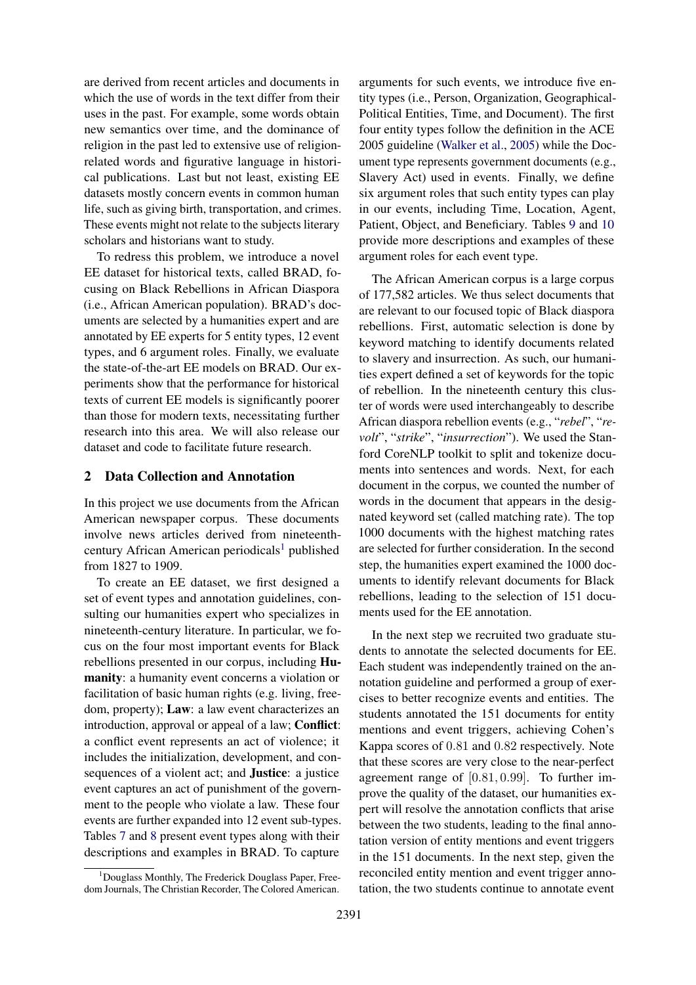are derived from recent articles and documents in which the use of words in the text differ from their uses in the past. For example, some words obtain new semantics over time, and the dominance of religion in the past led to extensive use of religionrelated words and figurative language in historical publications. Last but not least, existing EE datasets mostly concern events in common human life, such as giving birth, transportation, and crimes. These events might not relate to the subjects literary scholars and historians want to study.

To redress this problem, we introduce a novel EE dataset for historical texts, called BRAD, focusing on Black Rebellions in African Diaspora (i.e., African American population). BRAD's documents are selected by a humanities expert and are annotated by EE experts for 5 entity types, 12 event types, and 6 argument roles. Finally, we evaluate the state-of-the-art EE models on BRAD. Our experiments show that the performance for historical texts of current EE models is significantly poorer than those for modern texts, necessitating further research into this area. We will also release our dataset and code to facilitate future research.

#### 2 Data Collection and Annotation

In this project we use documents from the African American newspaper corpus. These documents involve news articles derived from nineteenth-century African American periodicals<sup>[1](#page-1-0)</sup> published from 1827 to 1909.

To create an EE dataset, we first designed a set of event types and annotation guidelines, consulting our humanities expert who specializes in nineteenth-century literature. In particular, we focus on the four most important events for Black rebellions presented in our corpus, including Humanity: a humanity event concerns a violation or facilitation of basic human rights (e.g. living, freedom, property); Law: a law event characterizes an introduction, approval or appeal of a law; Conflict: a conflict event represents an act of violence; it includes the initialization, development, and consequences of a violent act; and Justice: a justice event captures an act of punishment of the government to the people who violate a law. These four events are further expanded into 12 event sub-types. Tables [7](#page-7-0) and [8](#page-8-0) present event types along with their descriptions and examples in BRAD. To capture

arguments for such events, we introduce five entity types (i.e., Person, Organization, Geographical-Political Entities, Time, and Document). The first four entity types follow the definition in the ACE 2005 guideline [\(Walker et al.,](#page-6-4) [2005\)](#page-6-4) while the Document type represents government documents (e.g., Slavery Act) used in events. Finally, we define six argument roles that such entity types can play in our events, including Time, Location, Agent, Patient, Object, and Beneficiary. Tables [9](#page-9-0) and [10](#page-10-0) provide more descriptions and examples of these argument roles for each event type.

The African American corpus is a large corpus of 177,582 articles. We thus select documents that are relevant to our focused topic of Black diaspora rebellions. First, automatic selection is done by keyword matching to identify documents related to slavery and insurrection. As such, our humanities expert defined a set of keywords for the topic of rebellion. In the nineteenth century this cluster of words were used interchangeably to describe African diaspora rebellion events (e.g., "*rebel*", "*revolt*", "*strike*", "*insurrection*"). We used the Stanford CoreNLP toolkit to split and tokenize documents into sentences and words. Next, for each document in the corpus, we counted the number of words in the document that appears in the designated keyword set (called matching rate). The top 1000 documents with the highest matching rates are selected for further consideration. In the second step, the humanities expert examined the 1000 documents to identify relevant documents for Black rebellions, leading to the selection of 151 documents used for the EE annotation.

In the next step we recruited two graduate students to annotate the selected documents for EE. Each student was independently trained on the annotation guideline and performed a group of exercises to better recognize events and entities. The students annotated the 151 documents for entity mentions and event triggers, achieving Cohen's Kappa scores of 0.81 and 0.82 respectively. Note that these scores are very close to the near-perfect agreement range of [0.81, 0.99]. To further improve the quality of the dataset, our humanities expert will resolve the annotation conflicts that arise between the two students, leading to the final annotation version of entity mentions and event triggers in the 151 documents. In the next step, given the reconciled entity mention and event trigger annotation, the two students continue to annotate event

<span id="page-1-0"></span><sup>&</sup>lt;sup>1</sup>Douglass Monthly, The Frederick Douglass Paper, Freedom Journals, The Christian Recorder, The Colored American.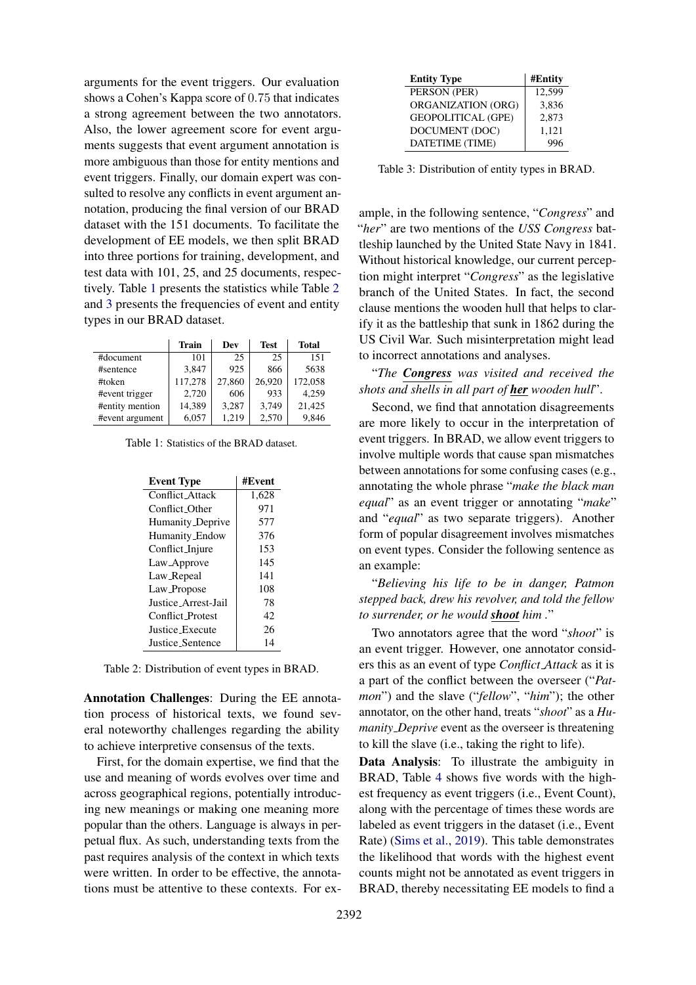arguments for the event triggers. Our evaluation shows a Cohen's Kappa score of 0.75 that indicates a strong agreement between the two annotators. Also, the lower agreement score for event arguments suggests that event argument annotation is more ambiguous than those for entity mentions and event triggers. Finally, our domain expert was consulted to resolve any conflicts in event argument annotation, producing the final version of our BRAD dataset with the 151 documents. To facilitate the development of EE models, we then split BRAD into three portions for training, development, and test data with 101, 25, and 25 documents, respectively. Table [1](#page-2-0) presents the statistics while Table [2](#page-2-1) and [3](#page-2-2) presents the frequencies of event and entity types in our BRAD dataset.

<span id="page-2-0"></span>

|                 | <b>Train</b> | Dev    | <b>Test</b> | Total   |
|-----------------|--------------|--------|-------------|---------|
| #document       | 101          | 25     | 25          | 151     |
| #sentence       | 3.847        | 925    | 866         | 5638    |
| #token          | 117,278      | 27,860 | 26,920      | 172,058 |
| #event trigger  | 2,720        | 606    | 933         | 4,259   |
| #entity mention | 14,389       | 3.287  | 3.749       | 21,425  |
| #event argument | 6,057        | 1,219  | 2,570       | 9.846   |

<span id="page-2-1"></span>Table 1: Statistics of the BRAD dataset.

| <b>Event Type</b>       | #Event |
|-------------------------|--------|
| Conflict Attack         | 1,628  |
| Conflict Other          | 971    |
| Humanity_Deprive        | 577    |
| Humanity_Endow          | 376    |
| Conflict_Injure         | 153    |
| Law_Approve             | 145    |
| Law_Repeal              | 141    |
| Law_Propose             | 108    |
| Justice Arrest-Jail     | 78     |
| <b>Conflict Protest</b> | 42     |
| <b>Justice Execute</b>  | 26     |
| Justice Sentence        | 14     |

Table 2: Distribution of event types in BRAD.

Annotation Challenges: During the EE annotation process of historical texts, we found several noteworthy challenges regarding the ability to achieve interpretive consensus of the texts.

First, for the domain expertise, we find that the use and meaning of words evolves over time and across geographical regions, potentially introducing new meanings or making one meaning more popular than the others. Language is always in perpetual flux. As such, understanding texts from the past requires analysis of the context in which texts were written. In order to be effective, the annotations must be attentive to these contexts. For ex-

<span id="page-2-2"></span>

| <b>Entity Type</b>        | #Entity |
|---------------------------|---------|
| PERSON (PER)              | 12,599  |
| ORGANIZATION (ORG)        | 3,836   |
| <b>GEOPOLITICAL (GPE)</b> | 2,873   |
| DOCUMENT (DOC)            | 1,121   |
| DATETIME (TIME)           | 996     |

Table 3: Distribution of entity types in BRAD.

ample, in the following sentence, "*Congress*" and "*her*" are two mentions of the *USS Congress* battleship launched by the United State Navy in 1841. Without historical knowledge, our current perception might interpret "*Congress*" as the legislative branch of the United States. In fact, the second clause mentions the wooden hull that helps to clarify it as the battleship that sunk in 1862 during the US Civil War. Such misinterpretation might lead to incorrect annotations and analyses.

"*The Congress was visited and received the shots and shells in all part of her wooden hull*".

Second, we find that annotation disagreements are more likely to occur in the interpretation of event triggers. In BRAD, we allow event triggers to involve multiple words that cause span mismatches between annotations for some confusing cases (e.g., annotating the whole phrase "*make the black man equal*" as an event trigger or annotating "*make*" and "*equal*" as two separate triggers). Another form of popular disagreement involves mismatches on event types. Consider the following sentence as an example:

"*Believing his life to be in danger, Patmon stepped back, drew his revolver, and told the fellow to surrender, or he would shoot him .*"

Two annotators agree that the word "*shoot*" is an event trigger. However, one annotator considers this as an event of type *Conflict Attack* as it is a part of the conflict between the overseer ("*Patmon*") and the slave ("*fellow*", "*him*"); the other annotator, on the other hand, treats "*shoot*" as a *Humanity Deprive* event as the overseer is threatening to kill the slave (i.e., taking the right to life).

Data Analysis: To illustrate the ambiguity in BRAD, Table [4](#page-3-0) shows five words with the highest frequency as event triggers (i.e., Event Count), along with the percentage of times these words are labeled as event triggers in the dataset (i.e., Event Rate) [\(Sims et al.,](#page-6-5) [2019\)](#page-6-5). This table demonstrates the likelihood that words with the highest event counts might not be annotated as event triggers in BRAD, thereby necessitating EE models to find a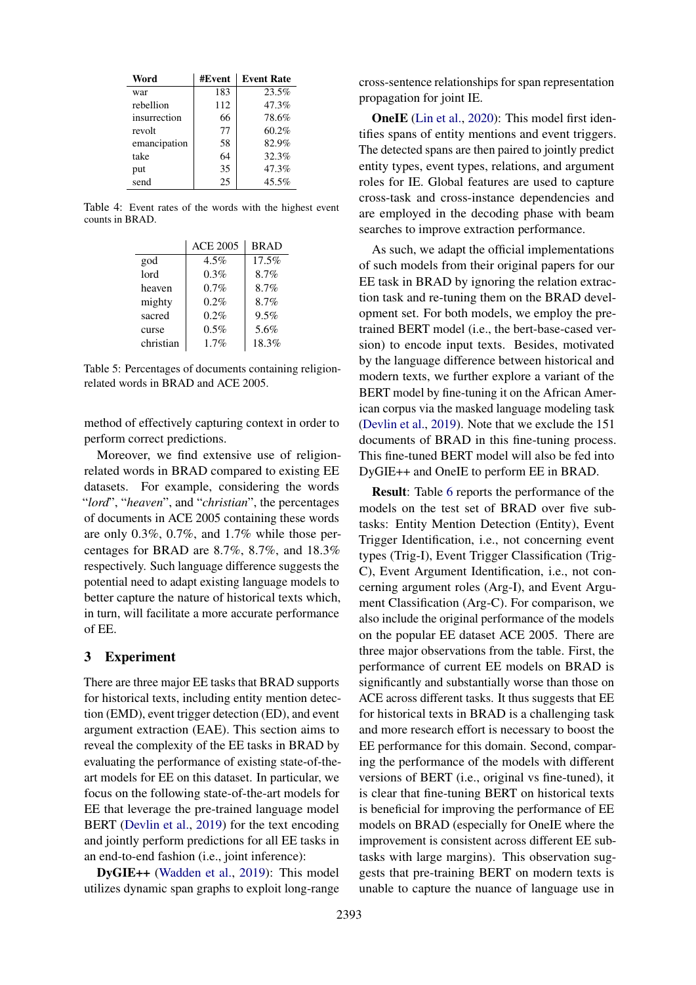<span id="page-3-0"></span>

| Word         | #Event | <b>Event Rate</b> |
|--------------|--------|-------------------|
| war          | 183    | 23.5%             |
| rebellion    | 112    | 47.3%             |
| insurrection | 66     | 78.6%             |
| revolt       | 77     | 60.2%             |
| emancipation | 58     | 82.9%             |
| take         | 64     | 32.3%             |
| put          | 35     | 47.3%             |
| send         | 25     | 45.5%             |

Table 4: Event rates of the words with the highest event counts in BRAD.

|           | <b>ACE 2005</b> | <b>BRAD</b> |
|-----------|-----------------|-------------|
| god       | 4.5%            | 17.5%       |
| lord      | 0.3%            | 8.7%        |
| heaven    | 0.7%            | 8.7%        |
| mighty    | 0.2%            | 8.7%        |
| sacred    | 0.2%            | 9.5%        |
| curse     | 0.5%            | 5.6%        |
| christian | 1.7%            | 18.3%       |

Table 5: Percentages of documents containing religionrelated words in BRAD and ACE 2005.

method of effectively capturing context in order to perform correct predictions.

Moreover, we find extensive use of religionrelated words in BRAD compared to existing EE datasets. For example, considering the words "*lord*", "*heaven*", and "*christian*", the percentages of documents in ACE 2005 containing these words are only 0.3%, 0.7%, and 1.7% while those percentages for BRAD are 8.7%, 8.7%, and 18.3% respectively. Such language difference suggests the potential need to adapt existing language models to better capture the nature of historical texts which, in turn, will facilitate a more accurate performance of EE.

# 3 Experiment

There are three major EE tasks that BRAD supports for historical texts, including entity mention detection (EMD), event trigger detection (ED), and event argument extraction (EAE). This section aims to reveal the complexity of the EE tasks in BRAD by evaluating the performance of existing state-of-theart models for EE on this dataset. In particular, we focus on the following state-of-the-art models for EE that leverage the pre-trained language model BERT [\(Devlin et al.,](#page-5-3) [2019\)](#page-5-3) for the text encoding and jointly perform predictions for all EE tasks in an end-to-end fashion (i.e., joint inference):

DyGIE++ [\(Wadden et al.,](#page-6-3) [2019\)](#page-6-3): This model utilizes dynamic span graphs to exploit long-range

cross-sentence relationships for span representation propagation for joint IE.

OneIE [\(Lin et al.,](#page-5-0) [2020\)](#page-5-0): This model first identifies spans of entity mentions and event triggers. The detected spans are then paired to jointly predict entity types, event types, relations, and argument roles for IE. Global features are used to capture cross-task and cross-instance dependencies and are employed in the decoding phase with beam searches to improve extraction performance.

As such, we adapt the official implementations of such models from their original papers for our EE task in BRAD by ignoring the relation extraction task and re-tuning them on the BRAD development set. For both models, we employ the pretrained BERT model (i.e., the bert-base-cased version) to encode input texts. Besides, motivated by the language difference between historical and modern texts, we further explore a variant of the BERT model by fine-tuning it on the African American corpus via the masked language modeling task [\(Devlin et al.,](#page-5-3) [2019\)](#page-5-3). Note that we exclude the 151 documents of BRAD in this fine-tuning process. This fine-tuned BERT model will also be fed into DyGIE++ and OneIE to perform EE in BRAD.

Result: Table [6](#page-4-0) reports the performance of the models on the test set of BRAD over five subtasks: Entity Mention Detection (Entity), Event Trigger Identification, i.e., not concerning event types (Trig-I), Event Trigger Classification (Trig-C), Event Argument Identification, i.e., not concerning argument roles (Arg-I), and Event Argument Classification (Arg-C). For comparison, we also include the original performance of the models on the popular EE dataset ACE 2005. There are three major observations from the table. First, the performance of current EE models on BRAD is significantly and substantially worse than those on ACE across different tasks. It thus suggests that EE for historical texts in BRAD is a challenging task and more research effort is necessary to boost the EE performance for this domain. Second, comparing the performance of the models with different versions of BERT (i.e., original vs fine-tuned), it is clear that fine-tuning BERT on historical texts is beneficial for improving the performance of EE models on BRAD (especially for OneIE where the improvement is consistent across different EE subtasks with large margins). This observation suggests that pre-training BERT on modern texts is unable to capture the nuance of language use in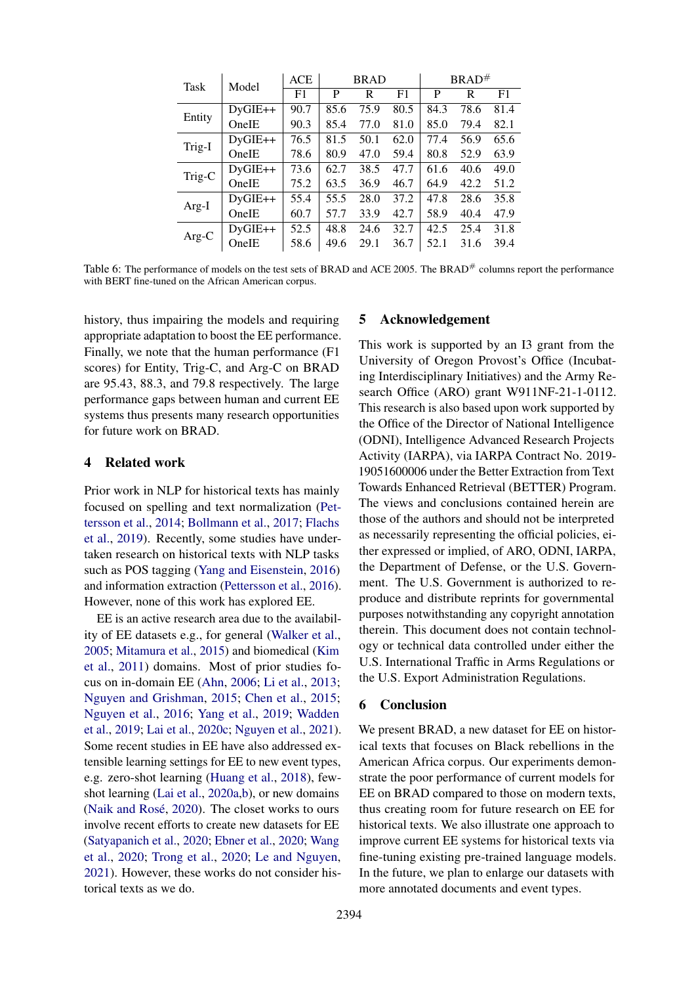<span id="page-4-0"></span>

| Task   | Model     | <b>ACE</b> | <b>BRAD</b> |      |      | $BRAD^{\#}$ |      |      |
|--------|-----------|------------|-------------|------|------|-------------|------|------|
|        |           | F1         | P           | R    | F1   | P           | R    | F1   |
| Entity | $DyGIE++$ | 90.7       | 85.6        | 75.9 | 80.5 | 84.3        | 78.6 | 81.4 |
|        | OneIE     | 90.3       | 85.4        | 77.0 | 81.0 | 85.0        | 79.4 | 82.1 |
| Trig-I | $DyGIE++$ | 76.5       | 81.5        | 50.1 | 62.0 | 77.4        | 56.9 | 65.6 |
|        | OneIE     | 78.6       | 80.9        | 47.0 | 59.4 | 80.8        | 52.9 | 63.9 |
| Trig-C | $DyGIE++$ | 73.6       | 62.7        | 38.5 | 47.7 | 61.6        | 40.6 | 49.0 |
|        | OneIE     | 75.2       | 63.5        | 36.9 | 46.7 | 64.9        | 42.2 | 51.2 |
| Arg-I  | $DyGIE++$ | 55.4       | 55.5        | 28.0 | 37.2 | 47.8        | 28.6 | 35.8 |
|        | OneIE     | 60.7       | 57.7        | 33.9 | 42.7 | 58.9        | 40.4 | 47.9 |
| Arg-C  | $DyGIE++$ | 52.5       | 48.8        | 24.6 | 32.7 | 42.5        | 25.4 | 31.8 |
|        | OneIE     | 58.6       | 49.6        | 29.1 | 36.7 | 52.1        | 31.6 | 39.4 |

Table 6: The performance of models on the test sets of BRAD and ACE 2005. The BRAD<sup>#</sup> columns report the performance with BERT fine-tuned on the African American corpus.

history, thus impairing the models and requiring appropriate adaptation to boost the EE performance. Finally, we note that the human performance (F1 scores) for Entity, Trig-C, and Arg-C on BRAD are 95.43, 88.3, and 79.8 respectively. The large performance gaps between human and current EE systems thus presents many research opportunities for future work on BRAD.

### 4 Related work

Prior work in NLP for historical texts has mainly focused on spelling and text normalization [\(Pet](#page-6-6)[tersson et al.,](#page-6-6) [2014;](#page-6-6) [Bollmann et al.,](#page-5-4) [2017;](#page-5-4) [Flachs](#page-5-5) [et al.,](#page-5-5) [2019\)](#page-5-5). Recently, some studies have undertaken research on historical texts with NLP tasks such as POS tagging [\(Yang and Eisenstein,](#page-6-1) [2016\)](#page-6-1) and information extraction [\(Pettersson et al.,](#page-5-6) [2016\)](#page-5-6). However, none of this work has explored EE.

EE is an active research area due to the availability of EE datasets e.g., for general [\(Walker et al.,](#page-6-4) [2005;](#page-6-4) [Mitamura et al.,](#page-5-2) [2015\)](#page-5-2) and biomedical [\(Kim](#page-5-7) [et al.,](#page-5-7) [2011\)](#page-5-7) domains. Most of prior studies focus on in-domain EE [\(Ahn,](#page-5-8) [2006;](#page-5-8) [Li et al.,](#page-5-1) [2013;](#page-5-1) [Nguyen and Grishman,](#page-5-9) [2015;](#page-5-9) [Chen et al.,](#page-5-10) [2015;](#page-5-10) [Nguyen et al.,](#page-5-11) [2016;](#page-5-11) [Yang et al.,](#page-6-7) [2019;](#page-6-7) [Wadden](#page-6-3) [et al.,](#page-6-3) [2019;](#page-6-3) [Lai et al.,](#page-5-12) [2020c;](#page-5-12) [Nguyen et al.,](#page-5-13) [2021\)](#page-5-13). Some recent studies in EE have also addressed extensible learning settings for EE to new event types, e.g. zero-shot learning [\(Huang et al.,](#page-5-14) [2018\)](#page-5-14), fewshot learning [\(Lai et al.,](#page-5-15) [2020a](#page-5-15)[,b\)](#page-5-16), or new domains (Naik and Rosé, [2020\)](#page-5-17). The closet works to ours involve recent efforts to create new datasets for EE [\(Satyapanich et al.,](#page-6-8) [2020;](#page-6-8) [Ebner et al.,](#page-5-18) [2020;](#page-5-18) [Wang](#page-6-9) [et al.,](#page-6-9) [2020;](#page-6-9) [Trong et al.,](#page-6-10) [2020;](#page-6-10) [Le and Nguyen,](#page-5-19) [2021\)](#page-5-19). However, these works do not consider historical texts as we do.

#### 5 Acknowledgement

This work is supported by an I3 grant from the University of Oregon Provost's Office (Incubating Interdisciplinary Initiatives) and the Army Research Office (ARO) grant W911NF-21-1-0112. This research is also based upon work supported by the Office of the Director of National Intelligence (ODNI), Intelligence Advanced Research Projects Activity (IARPA), via IARPA Contract No. 2019- 19051600006 under the Better Extraction from Text Towards Enhanced Retrieval (BETTER) Program. The views and conclusions contained herein are those of the authors and should not be interpreted as necessarily representing the official policies, either expressed or implied, of ARO, ODNI, IARPA, the Department of Defense, or the U.S. Government. The U.S. Government is authorized to reproduce and distribute reprints for governmental purposes notwithstanding any copyright annotation therein. This document does not contain technology or technical data controlled under either the U.S. International Traffic in Arms Regulations or the U.S. Export Administration Regulations.

#### 6 Conclusion

We present BRAD, a new dataset for EE on historical texts that focuses on Black rebellions in the American Africa corpus. Our experiments demonstrate the poor performance of current models for EE on BRAD compared to those on modern texts, thus creating room for future research on EE for historical texts. We also illustrate one approach to improve current EE systems for historical texts via fine-tuning existing pre-trained language models. In the future, we plan to enlarge our datasets with more annotated documents and event types.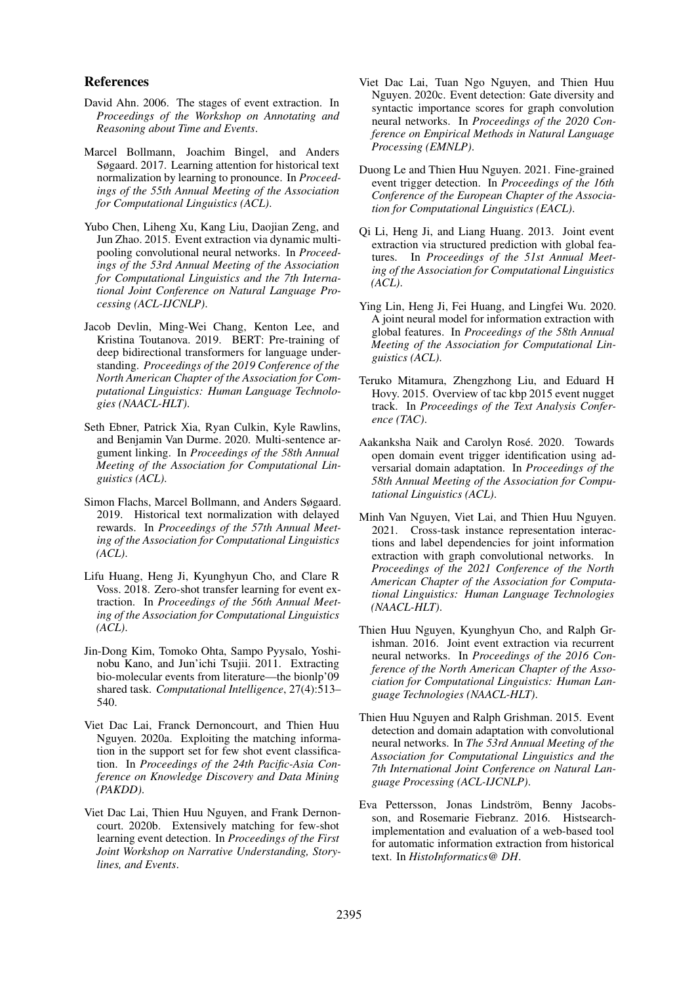#### References

- <span id="page-5-8"></span>David Ahn. 2006. The stages of event extraction. In *Proceedings of the Workshop on Annotating and Reasoning about Time and Events*.
- <span id="page-5-4"></span>Marcel Bollmann, Joachim Bingel, and Anders Søgaard. 2017. Learning attention for historical text normalization by learning to pronounce. In *Proceedings of the 55th Annual Meeting of the Association for Computational Linguistics (ACL)*.
- <span id="page-5-10"></span>Yubo Chen, Liheng Xu, Kang Liu, Daojian Zeng, and Jun Zhao. 2015. Event extraction via dynamic multipooling convolutional neural networks. In *Proceedings of the 53rd Annual Meeting of the Association for Computational Linguistics and the 7th International Joint Conference on Natural Language Processing (ACL-IJCNLP)*.
- <span id="page-5-3"></span>Jacob Devlin, Ming-Wei Chang, Kenton Lee, and Kristina Toutanova. 2019. BERT: Pre-training of deep bidirectional transformers for language understanding. *Proceedings of the 2019 Conference of the North American Chapter of the Association for Computational Linguistics: Human Language Technologies (NAACL-HLT)*.
- <span id="page-5-18"></span>Seth Ebner, Patrick Xia, Ryan Culkin, Kyle Rawlins, and Benjamin Van Durme. 2020. Multi-sentence argument linking. In *Proceedings of the 58th Annual Meeting of the Association for Computational Linguistics (ACL)*.
- <span id="page-5-5"></span>Simon Flachs, Marcel Bollmann, and Anders Søgaard. 2019. Historical text normalization with delayed rewards. In *Proceedings of the 57th Annual Meeting of the Association for Computational Linguistics (ACL)*.
- <span id="page-5-14"></span>Lifu Huang, Heng Ji, Kyunghyun Cho, and Clare R Voss. 2018. Zero-shot transfer learning for event extraction. In *Proceedings of the 56th Annual Meeting of the Association for Computational Linguistics (ACL)*.
- <span id="page-5-7"></span>Jin-Dong Kim, Tomoko Ohta, Sampo Pyysalo, Yoshinobu Kano, and Jun'ichi Tsujii. 2011. Extracting bio-molecular events from literature—the bionlp'09 shared task. *Computational Intelligence*, 27(4):513– 540.
- <span id="page-5-15"></span>Viet Dac Lai, Franck Dernoncourt, and Thien Huu Nguyen. 2020a. Exploiting the matching information in the support set for few shot event classification. In *Proceedings of the 24th Pacific-Asia Conference on Knowledge Discovery and Data Mining (PAKDD)*.
- <span id="page-5-16"></span>Viet Dac Lai, Thien Huu Nguyen, and Frank Dernoncourt. 2020b. Extensively matching for few-shot learning event detection. In *Proceedings of the First Joint Workshop on Narrative Understanding, Storylines, and Events*.
- <span id="page-5-12"></span>Viet Dac Lai, Tuan Ngo Nguyen, and Thien Huu Nguyen. 2020c. Event detection: Gate diversity and syntactic importance scores for graph convolution neural networks. In *Proceedings of the 2020 Conference on Empirical Methods in Natural Language Processing (EMNLP)*.
- <span id="page-5-19"></span>Duong Le and Thien Huu Nguyen. 2021. Fine-grained event trigger detection. In *Proceedings of the 16th Conference of the European Chapter of the Association for Computational Linguistics (EACL)*.
- <span id="page-5-1"></span>Qi Li, Heng Ji, and Liang Huang. 2013. Joint event extraction via structured prediction with global features. In *Proceedings of the 51st Annual Meeting of the Association for Computational Linguistics (ACL)*.
- <span id="page-5-0"></span>Ying Lin, Heng Ji, Fei Huang, and Lingfei Wu. 2020. A joint neural model for information extraction with global features. In *Proceedings of the 58th Annual Meeting of the Association for Computational Linguistics (ACL)*.
- <span id="page-5-2"></span>Teruko Mitamura, Zhengzhong Liu, and Eduard H Hovy. 2015. Overview of tac kbp 2015 event nugget track. In *Proceedings of the Text Analysis Conference (TAC)*.
- <span id="page-5-17"></span>Aakanksha Naik and Carolyn Rosé. 2020. Towards open domain event trigger identification using adversarial domain adaptation. In *Proceedings of the 58th Annual Meeting of the Association for Computational Linguistics (ACL)*.
- <span id="page-5-13"></span>Minh Van Nguyen, Viet Lai, and Thien Huu Nguyen. 2021. Cross-task instance representation interactions and label dependencies for joint information extraction with graph convolutional networks. In *Proceedings of the 2021 Conference of the North American Chapter of the Association for Computational Linguistics: Human Language Technologies (NAACL-HLT)*.
- <span id="page-5-11"></span>Thien Huu Nguyen, Kyunghyun Cho, and Ralph Grishman. 2016. Joint event extraction via recurrent neural networks. In *Proceedings of the 2016 Conference of the North American Chapter of the Association for Computational Linguistics: Human Language Technologies (NAACL-HLT)*.
- <span id="page-5-9"></span>Thien Huu Nguyen and Ralph Grishman. 2015. Event detection and domain adaptation with convolutional neural networks. In *The 53rd Annual Meeting of the Association for Computational Linguistics and the 7th International Joint Conference on Natural Language Processing (ACL-IJCNLP)*.
- <span id="page-5-6"></span>Eva Pettersson, Jonas Lindström, Benny Jacobsson, and Rosemarie Fiebranz. 2016. Histsearchimplementation and evaluation of a web-based tool for automatic information extraction from historical text. In *HistoInformatics@ DH*.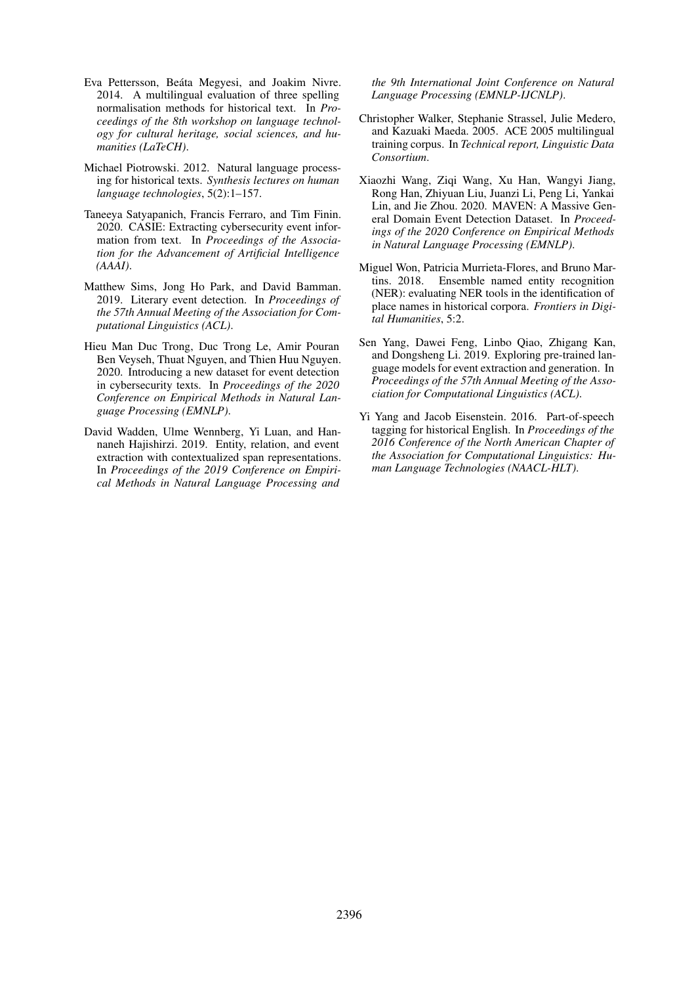- <span id="page-6-6"></span>Eva Pettersson, Beáta Megyesi, and Joakim Nivre. 2014. A multilingual evaluation of three spelling normalisation methods for historical text. In *Proceedings of the 8th workshop on language technology for cultural heritage, social sciences, and humanities (LaTeCH)*.
- <span id="page-6-0"></span>Michael Piotrowski. 2012. Natural language processing for historical texts. *Synthesis lectures on human language technologies*, 5(2):1–157.
- <span id="page-6-8"></span>Taneeya Satyapanich, Francis Ferraro, and Tim Finin. 2020. CASIE: Extracting cybersecurity event information from text. In *Proceedings of the Association for the Advancement of Artificial Intelligence (AAAI)*.
- <span id="page-6-5"></span>Matthew Sims, Jong Ho Park, and David Bamman. 2019. Literary event detection. In *Proceedings of the 57th Annual Meeting of the Association for Computational Linguistics (ACL)*.
- <span id="page-6-10"></span>Hieu Man Duc Trong, Duc Trong Le, Amir Pouran Ben Veyseh, Thuat Nguyen, and Thien Huu Nguyen. 2020. Introducing a new dataset for event detection in cybersecurity texts. In *Proceedings of the 2020 Conference on Empirical Methods in Natural Language Processing (EMNLP)*.
- <span id="page-6-3"></span>David Wadden, Ulme Wennberg, Yi Luan, and Hannaneh Hajishirzi. 2019. Entity, relation, and event extraction with contextualized span representations. In *Proceedings of the 2019 Conference on Empirical Methods in Natural Language Processing and*

*the 9th International Joint Conference on Natural Language Processing (EMNLP-IJCNLP)*.

- <span id="page-6-4"></span>Christopher Walker, Stephanie Strassel, Julie Medero, and Kazuaki Maeda. 2005. ACE 2005 multilingual training corpus. In *Technical report, Linguistic Data Consortium*.
- <span id="page-6-9"></span>Xiaozhi Wang, Ziqi Wang, Xu Han, Wangyi Jiang, Rong Han, Zhiyuan Liu, Juanzi Li, Peng Li, Yankai Lin, and Jie Zhou. 2020. MAVEN: A Massive General Domain Event Detection Dataset. In *Proceedings of the 2020 Conference on Empirical Methods in Natural Language Processing (EMNLP)*.
- <span id="page-6-2"></span>Miguel Won, Patricia Murrieta-Flores, and Bruno Martins. 2018. Ensemble named entity recognition (NER): evaluating NER tools in the identification of place names in historical corpora. *Frontiers in Digital Humanities*, 5:2.
- <span id="page-6-7"></span>Sen Yang, Dawei Feng, Linbo Qiao, Zhigang Kan, and Dongsheng Li. 2019. Exploring pre-trained language models for event extraction and generation. In *Proceedings of the 57th Annual Meeting of the Association for Computational Linguistics (ACL)*.
- <span id="page-6-1"></span>Yi Yang and Jacob Eisenstein. 2016. Part-of-speech tagging for historical English. In *Proceedings of the 2016 Conference of the North American Chapter of the Association for Computational Linguistics: Human Language Technologies (NAACL-HLT)*.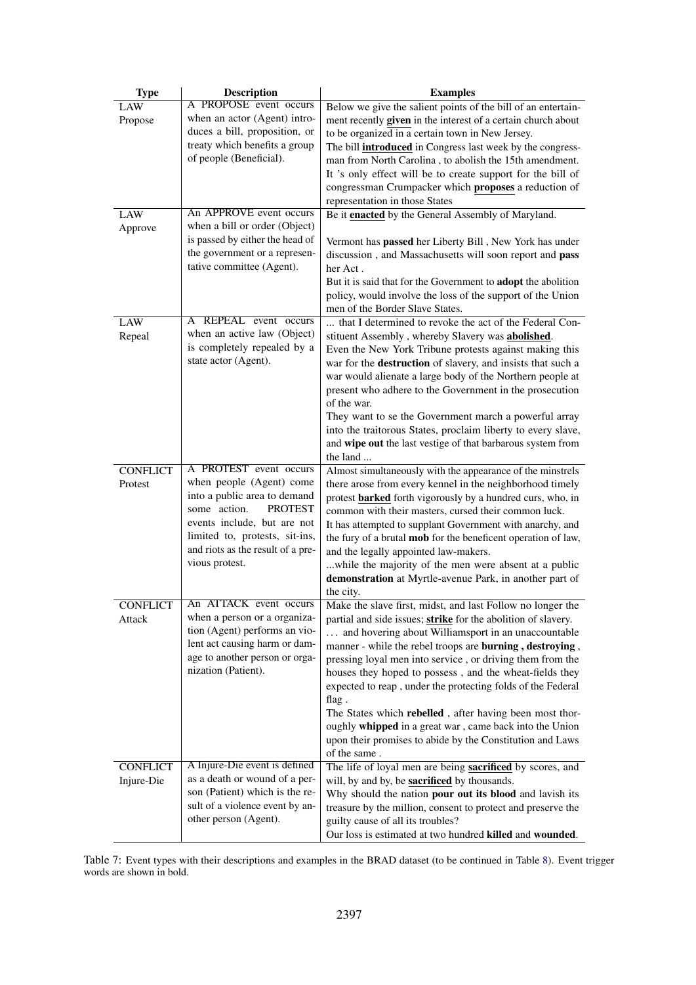<span id="page-7-0"></span>

| <b>Type</b>     | <b>Description</b>                                             | <b>Examples</b>                                                                                                        |
|-----------------|----------------------------------------------------------------|------------------------------------------------------------------------------------------------------------------------|
| LAW             | A PROPOSE event occurs                                         | Below we give the salient points of the bill of an entertain-                                                          |
| Propose         | when an actor (Agent) intro-                                   | ment recently given in the interest of a certain church about                                                          |
|                 | duces a bill, proposition, or<br>treaty which benefits a group | to be organized in a certain town in New Jersey.                                                                       |
|                 | of people (Beneficial).                                        | The bill <b>introduced</b> in Congress last week by the congress-                                                      |
|                 |                                                                | man from North Carolina, to abolish the 15th amendment.<br>It 's only effect will be to create support for the bill of |
|                 |                                                                | congressman Crumpacker which proposes a reduction of                                                                   |
|                 |                                                                | representation in those States                                                                                         |
| <b>LAW</b>      | An APPROVE event occurs                                        | Be it <b>enacted</b> by the General Assembly of Maryland.                                                              |
| Approve         | when a bill or order (Object)                                  |                                                                                                                        |
|                 | is passed by either the head of                                | Vermont has passed her Liberty Bill, New York has under                                                                |
|                 | the government or a represen-                                  | discussion, and Massachusetts will soon report and pass                                                                |
|                 | tative committee (Agent).                                      | her Act.                                                                                                               |
|                 |                                                                | But it is said that for the Government to <b>adopt</b> the abolition                                                   |
|                 |                                                                | policy, would involve the loss of the support of the Union                                                             |
|                 | A REPEAL event occurs                                          | men of the Border Slave States.                                                                                        |
| <b>LAW</b>      | when an active law (Object)                                    | that I determined to revoke the act of the Federal Con-                                                                |
| Repeal          | is completely repealed by a                                    | stituent Assembly, whereby Slavery was abolished.<br>Even the New York Tribune protests against making this            |
|                 | state actor (Agent).                                           | war for the destruction of slavery, and insists that such a                                                            |
|                 |                                                                | war would alienate a large body of the Northern people at                                                              |
|                 |                                                                | present who adhere to the Government in the prosecution                                                                |
|                 |                                                                | of the war.                                                                                                            |
|                 |                                                                | They want to se the Government march a powerful array                                                                  |
|                 |                                                                | into the traitorous States, proclaim liberty to every slave,                                                           |
|                 |                                                                | and wipe out the last vestige of that barbarous system from                                                            |
|                 |                                                                | the land                                                                                                               |
| <b>CONFLICT</b> | A PROTEST event occurs                                         | Almost simultaneously with the appearance of the minstrels                                                             |
| Protest         | when people (Agent) come<br>into a public area to demand       | there arose from every kennel in the neighborhood timely                                                               |
|                 | some action.<br><b>PROTEST</b>                                 | protest <b>barked</b> forth vigorously by a hundred curs, who, in                                                      |
|                 | events include, but are not                                    | common with their masters, cursed their common luck.<br>It has attempted to supplant Government with anarchy, and      |
|                 | limited to, protests, sit-ins,                                 | the fury of a brutal mob for the beneficent operation of law,                                                          |
|                 | and riots as the result of a pre-                              | and the legally appointed law-makers.                                                                                  |
|                 | vious protest.                                                 | while the majority of the men were absent at a public                                                                  |
|                 |                                                                | demonstration at Myrtle-avenue Park, in another part of                                                                |
|                 |                                                                | the city.                                                                                                              |
| <b>CONFLICT</b> | An ATTACK event occurs                                         | Make the slave first, midst, and last Follow no longer the                                                             |
| Attack          | when a person or a organiza-                                   | partial and side issues; strike for the abolition of slavery.                                                          |
|                 | tion (Agent) performs an vio-                                  | and hovering about Williamsport in an unaccountable                                                                    |
|                 | lent act causing harm or dam-                                  | manner - while the rebel troops are burning, destroying,                                                               |
|                 | age to another person or orga-<br>nization (Patient).          | pressing loyal men into service, or driving them from the                                                              |
|                 |                                                                | houses they hoped to possess, and the wheat-fields they                                                                |
|                 |                                                                | expected to reap, under the protecting folds of the Federal                                                            |
|                 |                                                                | flag.<br>The States which rebelled, after having been most thor-                                                       |
|                 |                                                                | oughly whipped in a great war, came back into the Union                                                                |
|                 |                                                                | upon their promises to abide by the Constitution and Laws                                                              |
|                 |                                                                | of the same.                                                                                                           |
| <b>CONFLICT</b> | A Injure-Die event is defined                                  | The life of loyal men are being <b>sacrificed</b> by scores, and                                                       |
| Injure-Die      | as a death or wound of a per-                                  | will, by and by, be <b>sacrificed</b> by thousands.                                                                    |
|                 | son (Patient) which is the re-                                 | Why should the nation pour out its blood and lavish its                                                                |
|                 | sult of a violence event by an-                                | treasure by the million, consent to protect and preserve the                                                           |
|                 | other person (Agent).                                          | guilty cause of all its troubles?                                                                                      |
|                 |                                                                | Our loss is estimated at two hundred killed and wounded.                                                               |

Table 7: Event types with their descriptions and examples in the BRAD dataset (to be continued in Table [8\)](#page-8-0). Event trigger words are shown in bold.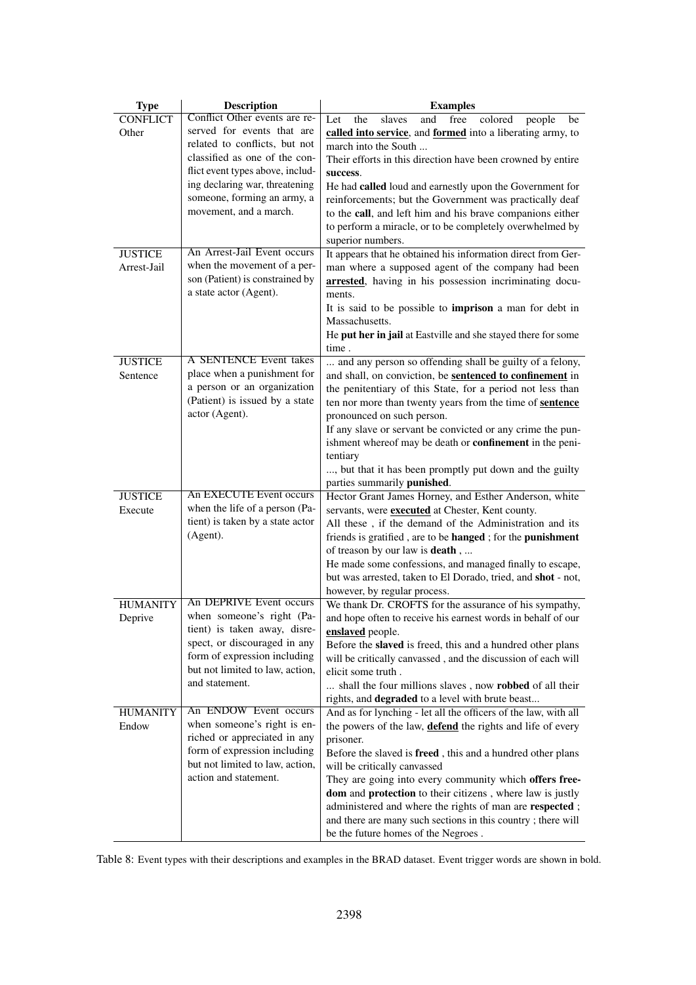<span id="page-8-0"></span>

| <b>Type</b>                | <b>Description</b>                                           | <b>Examples</b>                                                                                                        |
|----------------------------|--------------------------------------------------------------|------------------------------------------------------------------------------------------------------------------------|
| <b>CONFLICT</b>            | Conflict Other events are re-                                | free<br>colored<br>Let<br>the<br>slaves<br>and<br>people<br>be                                                         |
| Other                      | served for events that are                                   | called into service, and formed into a liberating army, to                                                             |
|                            | related to conflicts, but not                                | march into the South                                                                                                   |
|                            | classified as one of the con-                                | Their efforts in this direction have been crowned by entire                                                            |
|                            | flict event types above, includ-                             | success.                                                                                                               |
|                            | ing declaring war, threatening                               | He had called loud and earnestly upon the Government for                                                               |
|                            | someone, forming an army, a                                  | reinforcements; but the Government was practically deaf                                                                |
|                            | movement, and a march.                                       | to the call, and left him and his brave companions either                                                              |
|                            |                                                              | to perform a miracle, or to be completely overwhelmed by                                                               |
|                            |                                                              | superior numbers.                                                                                                      |
| <b>JUSTICE</b>             | An Arrest-Jail Event occurs                                  | It appears that he obtained his information direct from Ger-                                                           |
| Arrest-Jail                | when the movement of a per-                                  | man where a supposed agent of the company had been                                                                     |
|                            | son (Patient) is constrained by                              | arrested, having in his possession incriminating docu-                                                                 |
|                            | a state actor (Agent).                                       | ments.                                                                                                                 |
|                            |                                                              | It is said to be possible to imprison a man for debt in                                                                |
|                            |                                                              | Massachusetts.                                                                                                         |
|                            |                                                              | He put her in jail at Eastville and she stayed there for some                                                          |
|                            | A SENTENCE Event takes                                       | time.                                                                                                                  |
| <b>JUSTICE</b><br>Sentence | place when a punishment for                                  | and any person so offending shall be guilty of a felony,                                                               |
|                            | a person or an organization                                  | and shall, on conviction, be sentenced to confinement in<br>the penitentiary of this State, for a period not less than |
|                            | (Patient) is issued by a state                               | ten nor more than twenty years from the time of sentence                                                               |
|                            | actor (Agent).                                               | pronounced on such person.                                                                                             |
|                            |                                                              | If any slave or servant be convicted or any crime the pun-                                                             |
|                            |                                                              | ishment whereof may be death or <b>confinement</b> in the peni-                                                        |
|                            |                                                              | tentiary                                                                                                               |
|                            |                                                              | , but that it has been promptly put down and the guilty                                                                |
|                            |                                                              | parties summarily punished.                                                                                            |
| <b>JUSTICE</b>             | <b>An EXECUTE Event occurs</b>                               | Hector Grant James Horney, and Esther Anderson, white                                                                  |
| Execute                    | when the life of a person (Pa-                               | servants, were <b>executed</b> at Chester, Kent county.                                                                |
|                            | tient) is taken by a state actor                             | All these, if the demand of the Administration and its                                                                 |
|                            | (Agent).                                                     | friends is gratified, are to be hanged; for the punishment                                                             |
|                            |                                                              | of treason by our law is <b>death</b> ,                                                                                |
|                            |                                                              | He made some confessions, and managed finally to escape,                                                               |
|                            |                                                              | but was arrested, taken to El Dorado, tried, and shot - not,                                                           |
|                            |                                                              | however, by regular process.                                                                                           |
| <b>HUMANITY</b>            | An DEPRIVE Event occurs                                      | We thank Dr. CROFTS for the assurance of his sympathy,                                                                 |
| Deprive                    | when someone's right (Pa-                                    | and hope often to receive his earnest words in behalf of our                                                           |
|                            | tient) is taken away, disre-                                 | enslaved people.                                                                                                       |
|                            | spect, or discouraged in any                                 | Before the slaved is freed, this and a hundred other plans                                                             |
|                            | form of expression including                                 | will be critically canvassed, and the discussion of each will                                                          |
|                            | but not limited to law, action,                              | elicit some truth.                                                                                                     |
|                            | and statement.                                               | shall the four millions slaves, now robbed of all their                                                                |
|                            |                                                              | rights, and degraded to a level with brute beast                                                                       |
| <b>HUMANITY</b>            | An ENDOW Event occurs                                        | And as for lynching - let all the officers of the law, with all                                                        |
| Endow                      | when someone's right is en-                                  | the powers of the law, <b>defend</b> the rights and life of every                                                      |
|                            | riched or appreciated in any<br>form of expression including | prisoner.                                                                                                              |
|                            | but not limited to law, action,                              | Before the slaved is freed, this and a hundred other plans                                                             |
|                            | action and statement.                                        | will be critically canvassed                                                                                           |
|                            |                                                              | They are going into every community which offers free-<br>dom and protection to their citizens, where law is justly    |
|                            |                                                              | administered and where the rights of man are respected;                                                                |
|                            |                                                              | and there are many such sections in this country; there will                                                           |
|                            |                                                              | be the future homes of the Negroes.                                                                                    |
|                            |                                                              |                                                                                                                        |

Table 8: Event types with their descriptions and examples in the BRAD dataset. Event trigger words are shown in bold.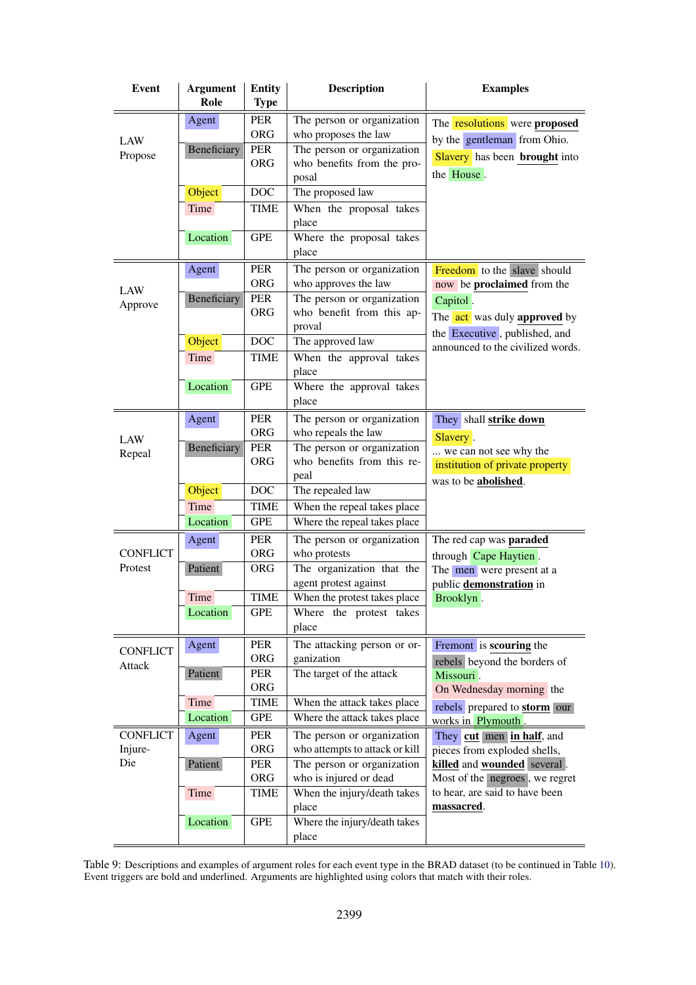<span id="page-9-0"></span>

| <b>Event</b>               | <b>Argument</b><br>Role | <b>Entity</b><br><b>Type</b>           | <b>Description</b>                                                               | <b>Examples</b>                                                            |
|----------------------------|-------------------------|----------------------------------------|----------------------------------------------------------------------------------|----------------------------------------------------------------------------|
| LAW                        | Agent<br>Beneficiary    | <b>PER</b><br><b>ORG</b><br><b>PER</b> | The person or organization<br>who proposes the law<br>The person or organization | The <b>resolutions</b> were <b>proposed</b><br>by the gentleman from Ohio. |
| Propose                    |                         | <b>ORG</b>                             | who benefits from the pro-<br>posal                                              | <b>Slavery</b> has been <b>brought</b> into<br>the House.                  |
|                            | Object                  | <b>DOC</b>                             | The proposed law                                                                 |                                                                            |
|                            | Time                    | <b>TIME</b>                            | When the proposal takes<br>place                                                 |                                                                            |
|                            | Location                | <b>GPE</b>                             | Where the proposal takes<br>place                                                |                                                                            |
|                            | Agent                   | <b>PER</b><br><b>ORG</b>               | The person or organization<br>who approves the law                               | Freedom to the slave should<br>now be proclaimed from the                  |
| LAW<br>Approve             | Beneficiary             | <b>PER</b>                             | The person or organization                                                       | Capitol.                                                                   |
|                            |                         | <b>ORG</b>                             | who benefit from this ap-<br>proval                                              | The act was duly approved by<br>the Executive, published, and              |
|                            | Object                  | <b>DOC</b>                             | The approved law                                                                 | announced to the civilized words.                                          |
|                            | Time                    | <b>TIME</b>                            | When the approval takes<br>place                                                 |                                                                            |
|                            | Location                | <b>GPE</b>                             | Where the approval takes<br>place                                                |                                                                            |
| LAW                        | Agent                   | <b>PER</b><br><b>ORG</b>               | The person or organization<br>who repeals the law                                | They shall strike down<br>Slavery.                                         |
| Repeal                     | Beneficiary             | <b>PER</b>                             | The person or organization                                                       | we can not see why the                                                     |
|                            |                         | <b>ORG</b>                             | who benefits from this re-<br>peal                                               | institution of private property<br>was to be abolished.                    |
|                            | Object                  | <b>DOC</b>                             | The repealed law                                                                 |                                                                            |
|                            | Time                    | <b>TIME</b>                            | When the repeal takes place                                                      |                                                                            |
|                            | Location                | <b>GPE</b>                             | Where the repeal takes place                                                     |                                                                            |
|                            | Agent                   | <b>PER</b>                             | The person or organization                                                       | The red cap was paraded                                                    |
| <b>CONFLICT</b><br>Protest |                         | <b>ORG</b><br><b>ORG</b>               | who protests<br>The organization that the                                        | through Cape Haytien.                                                      |
|                            | Patient                 |                                        | agent protest against                                                            | The men were present at a<br>public demonstration in                       |
|                            | Time                    | <b>TIME</b>                            | When the protest takes place                                                     | Brooklyn.                                                                  |
|                            | Location                | GPE                                    | Where the protest takes<br>place                                                 |                                                                            |
| <b>CONFLICT</b>            | Agent                   | <b>PER</b>                             | The attacking person or or-                                                      | Fremont is scouring the                                                    |
| Attack                     | Patient                 | <b>ORG</b><br><b>PER</b>               | ganization<br>The target of the attack                                           | rebels beyond the borders of                                               |
|                            |                         | <b>ORG</b>                             |                                                                                  | Missouri.<br>On Wednesday morning the                                      |
|                            | Time                    | TIME                                   | When the attack takes place                                                      | rebels prepared to <b>storm</b> our                                        |
|                            | Location                | <b>GPE</b>                             | Where the attack takes place                                                     | works in Plymouth                                                          |
| <b>CONFLICT</b>            | Agent                   | PER                                    | The person or organization                                                       | They cut men in half, and                                                  |
| Injure-                    |                         | <b>ORG</b>                             | who attempts to attack or kill                                                   | pieces from exploded shells,                                               |
| Die                        | Patient                 | PER<br><b>ORG</b>                      | The person or organization<br>who is injured or dead                             | killed and wounded several.<br>Most of the negroes, we regret              |
|                            | Time                    | TIME                                   | When the injury/death takes                                                      | to hear, are said to have been                                             |
|                            |                         |                                        | place                                                                            | massacred.                                                                 |
|                            | Location                | <b>GPE</b>                             | Where the injury/death takes                                                     |                                                                            |
|                            |                         |                                        | place                                                                            |                                                                            |

Table 9: Descriptions and examples of argument roles for each event type in the BRAD dataset (to be continued in Table [10\)](#page-10-0). Event triggers are bold and underlined. Arguments are highlighted using colors that match with their roles.